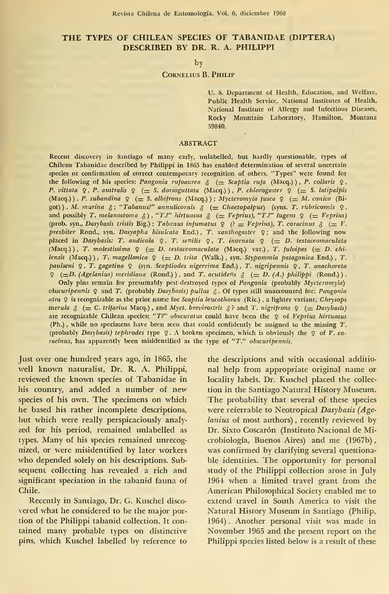# THE TYPES OF CHILEAN SPECIES OF TABANIDAE (DÍPTERA) DESCRIBED BY DR. R. A. PHILIPPI

### by

# Cornelius B. Philip

U. S. Department of Health, Education, and Welfare, Public Health Service, National Institutes of Health, National Institute of Allergy and Infectious Diseases, Rocky Mountain Laboratory, Hamilton, Montana 59840.

#### ABSTRACT

Recent discovery in Santiago of many early, unlabelled, but hardly questionable, types of Chilean Tabanidae described by Philippi in 1865 has enabled determination of several uncertain species or confirmation of correct contemporary recognition of others. "Types" were found for the following of his species: Pangonia rufoaurea  $\delta$  (= Scaptia rufa (Macq.)), P. collaris  $\varphi$ , P. vittata 9, P. australis 9 (= S. dorsoguttata (Macq.)), P. chlorogaster 9 (= S. latipalpis (Macq.) ) , P. subandina  $\varphi$  (= S. albifrons (Macq.) ); Mycteromyia fusca  $\varphi$  (= M. conica (Bigot)), M. murina  $\xi$ ; "Tabanus?" annulicornis  $\xi$  (= Chaetopalpus) (syns. T. rubricornis  $\varphi$ , and possibly T. melanostoma  $\beta$ ), "T.?" hirtuosus  $\beta$  (= Veprius), "T.?" lugens  $\varphi$  (= Veprius) (prob. syn., Dasybasis tristis Big.); Tabanus infumatus  $\varphi$  (? = Veprius), T. coracinus  $\varphi$  (= V. presbiter Rond., syn. Dasyapha bisulcata End.), T. xanthogaster  $9$ ; and the following now placed in Dasybasis: T. andicola ♀, T. senilis ♀, T. inornata ♀ (= D. testaceomaculata<br>(Macq.)), T. molestissima ♀ (= D. testaceomaculata (Macq.) var.), T. fulvipes (= D. chilensis (Macq.)), T. magellonica  $\varphi$  (= D. trita (Walk.), syn. Stypommia patagonica End.), T. paulseni 9, T. gagatina 9 (syn. Scaptiodes nigerrima End.), T. nigripennis 9, T. anachoreta 9  $\left( \pm D \cdot (Agelanius) \text{ meridian } (\text{Rond.}) \right)$ , and T. acutidens  $\delta \left( \pm D \cdot (A) \text{ philippi } (\text{Rond.}) \right)$ .

Only pins remain for presumably pest destroyed types of Pangonia (probably Mycteromyia) obscuripennis  $Q$  and  $T$ . (probably Dasybasis) pullus  $\beta$ . Of types still unaccounted for: Pangonia atra 9 is recognizable as the prior name for Scaptia leucothorax (Ric.), a lighter variant; Chrysops merula  $\delta$  (= C. trifarius Macq.), and Myct. brevirostris  $\delta$ ? and T. nigrifrons  $\Omega$  (= Dasybasis) are recognizable Chilean species; "T?" obscuratus could have been the  $\varphi$  of Veprius hirtuosus (Ph.) , while no specimens have been seen that could confidently be assigned to the missing T. (probably Dasybasis) tephrodes type  $\mathcal{Q}$ . A broken specimen, which is obviously the  $\mathcal{Q}$  of V. coracinus, has apparently been misidentified as the type of "T." obscuripennis.

Just over one hundred years ago, in 1865, the well known naturalist, Dr. R. A. Philippi, reviewed the known species of Tabanidae in his country, and added a number of new species of his own. The specimens on which he based his rather incomplete descriptions, but which were really perspicaciously analy zed for his period, remained unlabelled as types. Many of his species remained unrecognized, or were misidentified by later workers who depended solely on his descriptions. Sub sequent collecting has revealed a rich and significant speciation in the tabanid fauna of Chile.

Recently in Santiago, Dr. G. Kuschel disco vered what he considered to be the major portion of the Philippi tabanid collection. It con tained many probable types on distinctive pins, which Kuschel labelled by reference to the descriptions and with occasional additio nal help from appropriate original ñame or locality labels. Dr. Kuschel placed the collec tion in the Santiago Natural History Museum. The probability that several of these species were referrable to Neotropical Dasybasis (Agelanius oí most authors) , recently reviewed by Dr. Sixto Coscarón (Instituto Nacional de Microbiología, Buenos Aires) and me (1967b) was confirmed by clarifying several questionable identities. The opportunity for personal study of the Philippi collection arose in July 1964 when a limited travel grant from the American Philosophical Society enabled me to extend travel in South America to visit the Natural History Museum in Santiago (Philip, 1964) . Another personal visit was made in November 1965 and the present report on the Philippi species listed below is a result of these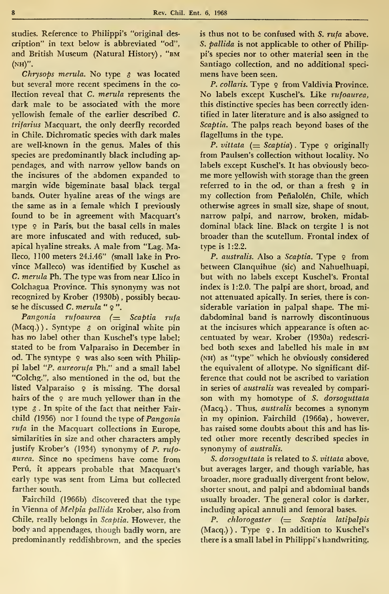studies. Reference to Philippi's "original des cription" in text below is abbreviated "od", and British Museum (Natural History) , "bm (nh)".

Chrysops merula. No type  $\delta$  was located but several more recent specimens ín the co llection reveal that C. merula represents the dark male to be associated with the more yellowish female of the earlier described C. trifarius Macquart, the only deerfly recorded in Chile. Dichromatic species with dark males are well-known in the genus. Males of this species are predominantly black including ap pendages, and with narrow yellow bands on the incisures of the abdomen expanded to margin wide bigeminate basal black tergal bands. Outer hyaline areas of the wings are the same as in a female which <sup>I</sup> previously found to be in agreement with Macquart's type 9 in París, but the basal cells in males are more infuscated and with reduced, subapical hyaline streaks. A male from "Lag. Malleco, 1100 meters 24.i.46" (small lake in Province Malleco) was identified by Kuschel as C. merula Ph. The type was from near Llico in Colchagua Province. This synonymy was not recognized by Krober (1930b) , possibly because he discussed *C. merula* " २ ".

Pangonia rufoaurea  $($  Scaptia rufa  $(Macq.)$ ). Syntype  $\delta$  on original white pin has no label other than Kuschel's type label; stated to be from Valparaíso in December in od. The syntype 9 was also seen with Philippi label "P. aureorufa Ph." and a small label "Colchg.", also mentioned in the od, but the listed Valparaiso 9 is missing. The dorsal hairs of the  $9$  are much yellower than in the type  $\delta$ . In spite of the fact that neither Fairchild (1956) nor I found the type of Pangonia rufa in the Macquart collections in Europe, similarities in size and other characters amply justify Krober's (1934) synonymy of P. rufoaurea. Since no specimens have come from Perú, it appears probable that Macquart's early type was sent from Lima but collected farther south.

Fairchild (1966b) discovered that the type in Vienna of Melpia pallida Krober, also from Chile, really belongs in Scaptia. However, the body and appendages, though badly worn, are predominantly reddishbrown, and the species is thus not to be confused with S. rufa above. S. pallida is not applicable to other of Philippi's species nor to other material seen in the Santiago collection, and no additional speci mens have been seen.

P. collaris. Type 9 from Valdivia Province. No labels except Kuschel's. Like rufoaurea, this distinctive species has been correctly identified in later literature and is also assigned to Scaptia. The palps reach beyond bases of the flagellums in the type.

P. vittata  $( = Scaptia)$ . Type  $\varphi$  originally from Paulsen's collection without locality. No labels except Kuschel's. It has obviously beco me more yellowish with storage than the green referred to in the od, or than a fresh  $9$  in my collection from Peñalolén, Chile, which otherwise agrees in small size, shape of snout, narrow palpi, and narrow, broken, midab dominal black line. Black on tergite <sup>1</sup> is not broader than the scutellum. Frontal índex of type is 1:2.2.

P. australis. Also a Scaptia. Type  $9$  from between Clanquihue (sic) and Nahuelhuapi, but with no labels except Kuschel's. Frontal index is 1:2.0. The palpi are short, broad, and not attenuated apically. In series, there is considerable variation in paipai shape. The mi dabdominal band is narrowly discontinuous at the incisures which appearance is often ac centuated by wear. Krober (1930a) redescri bed both sexes and labelled his male in bm (nh) as "type" which he obviously considered the equivalent of allotype. No significant dif ference that could not be ascribed to variation in series of australis was revealed by comparison with my homotype of S. dorsoguttata (Macq.) . Thus, australis becomes a synonym in my opinion. Fairchild (1966a), however, has raised some doubts about this and has lis ted other more recently described species in synonymy of australis.

S. dorsoguttata is related to S. vittata above, but averages larger, and though variable, has broader, more gradually divergent front below, shorter snout, and palpi and abdominal bands usually broader. The general color is darker, including apical annuli and femoral bases.

P. chlorogaster  $($  Scaptia latipalpis (Macq.)). Type 9. In addition to Kuschel's there is a small label in Philippi's handwriting,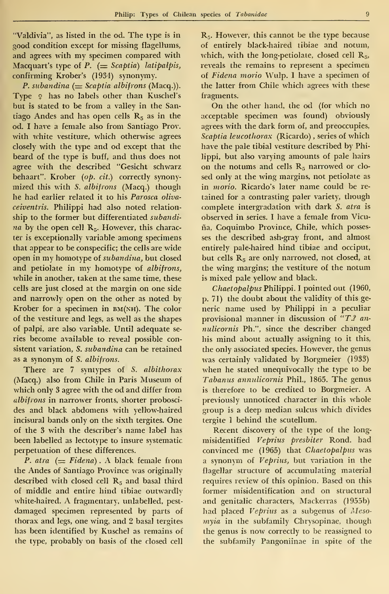"Valdivia", as listed in the od. The type is in good condition except for missing flagellums, and agrees with my specimen compared with Macquart's type of  $P$ . (= Scaptia) latipalpis, confirming Krober's (1934) synonymy.

P. subandina  $($  = Scaptia albifrons (Macq.)). Type 2 has no labels other than Kuschel's but is stated to be from a valley in the Santiago Andes and has open cells  $R<sub>5</sub>$  as in the od. I have a female also from Santiago Prov. with white vestiture, which otherwise agrees closely with the type and od except that the beard of the type is buff, and thus does not agree with the described "Gesicht schwarz behaart". Krober (op. cit.) correctly synony mized this with S. albifrons (Macq.) though he had earlier related it to his Parosca oliva ceiventris. Philippi had also noted relation ship to the former but differentiated subandi  $na$  by the open cell  $\mathbf{R}_5$ . However, this character is exceptionally variable among specimens that appear to be conspecific; the cells are wide open in my homotype of subandina, but closed and petiolate in my homotype of albifrons, while in another, taken at the same time, these cells are just closed at the margin on one side and narrowly open on the other as noted by Krober for a specimen in  $BM(NH)$ . The color of the vestiture and legs, as well as the shapes of palpi, are also variable. Until adequate se ries become available to reveal possible consistent variation, S. subandina can be retained as a synonym of S. albifrons.

There are 7 syntypes of S. albithorax (Macq.) also from Chile in París Museum of which only 3 agree with the od and differ from albifrons in narrower fronts, shorter proboscides and black abdomens with yellow-haired incisural bands only on the sixth tergites. One of the 3 with the describer's name label has been labelled as lectotype to insure systematic perpetuation of these differences.

P. atra  $(=$  Fidena). A black female from the Andes of Santiago Province was originally described with closed cell  $R_5$  and basal third of middle and entire hind tibiae outwardly white-haired. A fragmentary, unlabelled, pest damaged specimen represented by parts of thorax and legs, one wing, and 2 basal tergites has been identified by Kuschel as remains of the type, probably on basis of the closed cell

 $\mathbf{R}_5$ . However, this cannot be the type because of entirely black-haired tibiae and notum, which, with the long-petiolate, closed cell  $R_{5}$ , reveals the remains to represent a specimen of Fidena morio Wulp. I have a specimen of the latter from Chile which agrees with these fragments.

On the other hand, the od (for which no acceptable specimen was found) obviously agrees with the dark form of, and preoccupies, Scaptia leucothorax (Ricardo) , series of which have the palé tibial vestiture described by Philippi, but also varying amounts of palé hairs on the notums and cells  $R_5$  narrowed or closed only at the wing margins, not petiolate as in morio. Ricardo's later name could be retained for a contrasting paler variety, though complete intergradation with dark S. atra is observed in series. <sup>I</sup> have a female from Vicuña, Coquimbo Province, Chile, which possesses the described ash-gray front, and almost entirely pale-haired hind tibiae and occiput, but cells R<sub>5</sub> are only narrowed, not closed, at the wing margins; the vestiture of the notum is mixed palé yellow and black.

Chaetopalpus Philippi. <sup>I</sup> pointed out (1960, p. 71) the doubt about the validity of this ge neric ñame used by Philippi in a peculiar provisional manner in discussion of  $T$ .? annulicornis Ph.", since the describer changed his mind about actually assigning to it this, the only associated species. However, the genus was certainly validated by Borgmeier (1933) when he stated unequivocally the type to be Tabanus annulicornis Phil., 1865. The genus is therefore to be credited to Borgmeier. A previously unnoticed character in this whole group is a deep median sulcus which divides tergite <sup>1</sup> behind the scutellum.

Recent discovery of the type of the long misidentified Veprius presbiter Rond. had convinced me (1965) that Chaetopalpus was a synonym of Veprius, but variation in the flagellar structure of accumulating material requires review of this opinion. Based on this former misidentification and on structural and genitalic characters, Mackerras (1955b) had placed Veprius as a subgenus of Meso myia in the subfamily Chrysopinae, though the genus is now correctly to be reassigned to the subfamily Pangoniinae in spite of the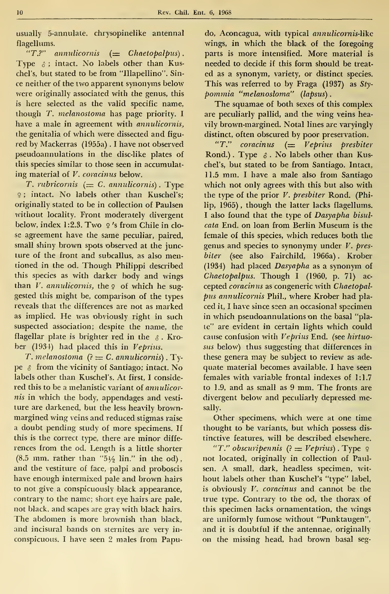usually 5-annulate, chrysopinelike antennal flagellums.

" $T$ ?" annulicornis  $($  = Chaetopalpus). Type  $\delta$ ; intact. No labels other than Kuschel's, but stated to be from "Illapellino". Since neither of the two apparent synonyms below were originally associated with the genus, this is here selected as the valid specific name, though T. melanostoma has page priority. <sup>I</sup> have a male in agreement with annulicornis, the genitalia of which were dissected and figured by Mackerras (1955a) . <sup>I</sup> have not observed pseudoannulations in the disc-like plates of this species similar to those seen in accumulating material of V. coracinus below.

T. rubricornis  $(= C.$  annulicornis). Type <sup>9</sup> ; intact. No labels other than Kuschel's; originally stated to be in collection of Paulsen without locality. Front moderately divergent below, index 1:2.3. Two  $\varphi$ 's from Chile in close agreement have the same peculiar, paired, small shiny brown spots observed at the juneture of the front and subcallus, as also mentioned in the od. Though Philippi described this species as with darker body and wings than  $V$ . annulicornis, the  $9$  of which he suggested this might be, comparison of the types reveals that the differences are not as marked as implied. He was obviously right in such suspected association; despite the name, the flagellar plate is brighter red in the  $\delta$ . Krober (1934) had placed this in Veprius.

T. melanostoma  $(?) = C$ . annulicornis). Type  $\delta$  from the vicinity of Santiago; intact. No labels other than Kuschel's. At first, <sup>I</sup> conside red this to be a melanistic variant of annulicor $nis$  in which the body, appendages and vestiture are darkened, but the less heavily brown margined wing veins and reduced stigmas raise a doubt pending study of more specimens. If this is the correct type, there are minor diffe rences from the od. Length is a little shorter  $(8.5 \text{ mm. rather than } \degree 5\frac{1}{2} \text{ lin."}$  in the od), and the vestiture of face, palpi and proboscis have enough intermixed palé and brown hairs to not give a conspicuously black appearance, contrary to the name; short eye hairs are pale, not black. and scapes are gray with black hairs. The abdomen is more brownish than black, and incisural bands on sternites are very in conspicuous. <sup>I</sup> have seen 2 males from Papu-

do, Aconcagua, with typical annulicornis-like wings, in which the black of the foregoing parts is more intensified. More material is needed to decide if this form should be treat ed as a synonym, variety, or distinct species. This was referred to by Fraga (1937) as  $Sty$ pommia "melanosloma" (lapsus)

The squamae of both sexes of this complex are peculiarly pallid, and the wing veins heavily brown-margined. Notal lines are varyingly distinct, often obscured by poor preservation.

"T." coracinus  $($  Veprius presbiter Rond.) . Type  $\delta$ . No labels other than Kuschel's, but stated to be from Santiago. Intact, 11.5 mm. <sup>I</sup> have <sup>a</sup> male also from Santiago which not only agrees with this but also with the type of the prior V. presbiter Rond. (Philip, 1965), though the latter lacks flagellums. <sup>I</sup> also found that the type of Dasyapha bisul cata End. on loan from Berlín Museum is the female of this species, which reduces both the genus and species to synonymy under  $V$ . presbiter (see also Fairchild, 1966a) . Krober (1934) had placed Dasyapha as a synonym of  $Chaetoplous.$  Though I (1960, p. 71) accepted coracinus as congeneric with Chaetopal pus annulicornis Phil., where Krober had pla ced it, I have since seen an occasional specimen in which pseudoannulations on the basal "plate" are evident in certain lights which could cause confusion with Veprius End. (see hirtuosus below) thus suggesting that differences in these genera may be subject to review as ade quate material becomes available. <sup>I</sup> have seen females with variable frontal indexes of 1:1.7 to 1.9, and as small as <sup>9</sup> mm. The fronts are divergent below and peculiarly depressed mesally.

Other specimens, which were at one time thought to be variants, but which possess dis tinctive features, will be described elsewhere. "T." obscuripennis  $(2 = Veprius)$ . Type  $9$ not located, originally in collection of Paulsen. A small, dark, headless specimen, wit hout labels other than Kuschel's "type" label, is obviously V. coracinus and cannot be the true type. Contrary to the od, the thorax of this specimen lacks ornamentation, the wings are uniformly fumóse without "Punktaugen", and it is doubtful if the antennae, originally on the missing head, had brown basal seg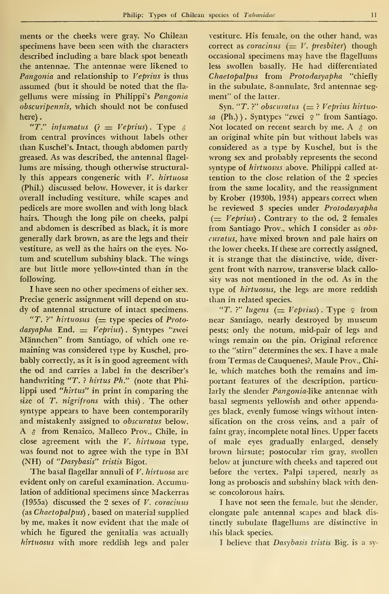ments or the cheeks were gray. No Chilean specimens have been seen with the characters described including a bare black spot beneath the antennae. The antennae were likened to Pangonia and relationship to Veprius is thus assumed (but it should be noted that the fla gellums were missing in Philippi's Pangonia obscuripennis, which should not be confused here).

"T." infumatus  $(2 = Veprius)$ . Type  $\delta$ from central provinces without labels other than Kuschel's. Intact, though abdomen partly greased. As was described, the antennal flagel lums are missing, though otherwise structurally this appears congeneric with  $V$ . hirtuosa (Phil.) discussed below. However, it is darker overall including vestiture, while scapes and pedicels are more swollen and with long black hairs. Though the long pile on cheeks, palpi and abdomen is described as black, it is more generally dark brown, as are the legs and their vestiture, as well as the hairs on the eyes. No tum and scutellum subshiny black. The wings are but little more yellow-tinted than in the following.

<sup>I</sup> have seen no other specimens of either sex. Precise generic assignment will depend on stu dy of antennal structure of intact specimens.

"T. ?" hirtuosus  $($  type species of Proto $dasyapha$  End.  $\equiv Veprius$ ). Syntypes "zwei Mánnchen" from Santiago, of which one re maining was considered type by Kuschel, pro bably correctly, as it is in good agreement with the od and carries a label in the describer's handwriting "T. ? hirtus Ph." (note that Philippi used "hirtus" in print in comparing the size of T. nigrifrons with this). The other syntype appears to have been contemporarily and mistakenly assigned to obscuratus below. A & from Renaico, Malleco Prov., Chile, in close agreement with the  $V$ . hirtuosa type, was found not to agree with the type in BM (NH) of "Dasybasis" tristis Bigot.

The basal flagellar annuli of V. hirtuosa are evident only on careful examination. Accumulation of additional specimens since Mackerras (1955a) discussed the 2 sexes of  $V.$  coracinus (as Chaetopalpus) , based on material supplied by me, makes it now evident that the male of which he figured the genitalia was actually hirtuosus with more reddish legs and paler

vestiture. His female, on the other hand, was correct as coracinus  $(= V. \text{}$  presbiter) though occasional specimens may have the flagellums less swollen basally. He had differentiated Chaetopalpus from Protodasyapha "chiefly in the subulate. 8-annulate, 3rd antennae seg ment" of the latter.

Syn. "T. ?" obscuratus  $(=$  ? Veprius hirtuosa (Ph.)). Syntypes "zwei ♀" from Santiago. ⊥ Not located on recent search by me. A  $\delta$  on an original white pin but without labels was considered as a type by Kuschel, but is the wrong sex and probably represents the second syntype of hirtuosus above. Philippi called at tention to the cióse relation of the 2 species from the same locality, and the reassignment by Krober (1930b, 1934) appears correct when he reviewed 3 species under Protodasyapha  $(= Veprius)$ . Contrary to the od, 2 females from Santiago Prov., which I consider as obscuratus, have mixed brown and palé hairs on the lower cheeks. If these are correctly assigned, it is strange that the distinctive, wide, diver gent front with narrow, transverse black callosity was not mentioned in the od. As in the type of hirtuosus, the legs are more reddish than in related species.

"T. ?" lugens (=  $Veprius$ ). Type  $\varphi$  from near Santiago, nearly destroyed by museum pests; only the notum, mid-pair of legs and wings remain on the pin. Original reference to the "stirn" determines the sex. <sup>I</sup> have a male from Termas de Cauquenes?, Maule Prov., Chile, which matches both the remains and im portant features of the description, particularly the slender Pangonia-like antennae with basal segments yellowish and other appendages black, evenly fumóse wings without intensification on the cross veins, and a pair of faint gray, incomplete notal lines. Upper facets of male eyes gradually enlarged, densely brown hirsute; postocular rim gray, swollen below at juncture with cheeks and tapered out before the vertex. Palpi tapered, nearly as long as proboscis and subshiny black with dense concolorous hairs.

I have not seen the female, but the slender, elongate palé antennal scapes and black dis tinctly subulate flagellums are distinctive in this black species.

I believe that Dasybasis tristis Big. is a sy-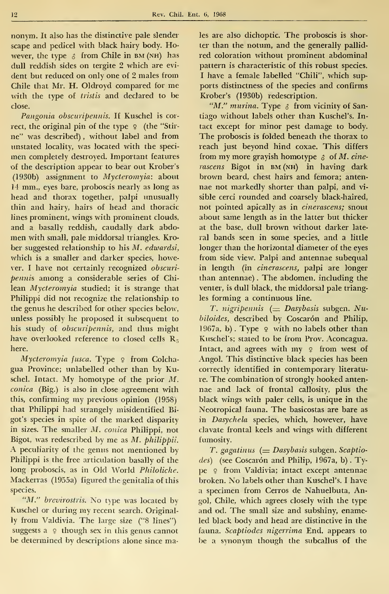nonym. It also has the distinctive palé slender scape and pedicel with black hairy body. However, the type  $\delta$  from Chile in BM (NH) has dull reddish sides on tergite 2 which are evi dent but reduced on only one of 2 males from Chile that Mr. H. Oldroyd compared for me with the type of *tristis* and declared to be close.

Pangonia obscuripennis. If Kuschel is cor rect, the original pin of the type  $9$  (the "Stirne" was described) , without label and from unstated locality, was located with the speci men completely destroyed. Important features of the description appear to bear out Krober's (1930b) assignment to Mycteromyia: about 14 mm., eyes bare, proboscis nearly as long as head and thorax together, palpi unusually thin and hairy, hairs of head and thoracic lines prominent, wings with prominent clouds, and a basally reddish, caudally dark abdo men with small, palé middorsal triangles. Krober suggested relationship to his M. edwardsi, which is a smaller and darker species, however. <sup>I</sup> have not certainly recognized obscuri pennis among a considerable series of Chilean Mycteromyia studied; it is strange that Philippi did not recognize the relationship to the genus he described for other species below, unless possibly he proposed it subsequent to his study of obscuripennis, and thus might have overlooked reference to closed cells  $R_5$ here.

Mycteromyia fusca. Type  $9$  from Colchagua Province; unlabelled other than by Kuschel. Intact. My homotype of the prior M. conica (Big.) is also in close agreement with this, confirming my previous opinión (1958) that Philippi had strangely misidentified Bigot's species in spite of the marked disparity in sizes. The smaller M. conica Philippi, not Bigot, was redescribed by me as M. philippii. A peculiarity of the genus not mentioned by Philippi is the free articulation basally of the long proboscis, as in Old World Philoliche. Mackerras (1955a) figured the genitalia of this species.

"M." brevirostris. No type was located by Kuschel or during my recent search. Originally from Valdivia. The large size ("8 lines") suggests a  $\varphi$  though sex in this genus cannot be determined by descriptions alone since males are also dichoptic. The proboscis is shorter than the notum, and the generally pallid red coloration without prominent abdominal pattern is characteristic of this robust species. <sup>I</sup> have a female labelled "Chili", which supports distinctness of the species and confirms Krober's (1930b) redescription.

"M." murina. Type  $\delta$  from vicinity of Santiago without labels other than Kuschel's. Intact except for minor pest damage to body. The proboscis is folded beneath the thorax to reach just beyond hind coxae. This differs from my more grayish homotype  $\phi$  of M. cinerascens Bigot in BM (NH) in having dark brown beard, chest hairs and femora; anten nae not markedly shorter than palpi, and vi sible cerci rounded and coarsely black-haired, not pointed apically as in cinerascens; snout about same length as in the latter but thicker at the base, dull brown without darker late ral bands seen in some species, and a little longer than the horizontal diameter of the eyes from side view. Palpi and antennae subequal in length (in cinerascens, palpi are longer than antennae) . The abdomen, including the venter, is dull black, the middorsal palé triangles forming a continuous line.

T. nigripennis  $(=$  Dasybasis subgen. Nubiloides, described by Coscarón and Philip, 1967a, b). Type  $9$  with no labels other than Kuschel's; stated to be from Prov. Aconcagua. Intact, and agrees with my  $9$  from west of Angol. This distinctive black species has been correctly identified in contemporary literature. The combination of strongly hooked anten nae and lack of frontal callosity, plus the black wings with paler cells, is unique in the Neotropical fauna. The basicostas are bare as in Dasychela species, which, however, have clavate frontal keels and wings with different fumosity.

 $T.$  gagatinus ( $=$  Dasybasis subgen. Scaptio $des$ ) (see Coscarón and Philip, 1967a, b). Type 9 from Valdivia; intact except antennae broken. No labels other than Kuschel's. <sup>I</sup> have a specimen from Cerros de Nahuelbuta, Angol, Chile, which agrees closely with the type and od. The small size and subshiny, enameled black body and head are distinctive in the fauna. Scaptiodes nigerrima End. appears to be a synonym though the subcallus of the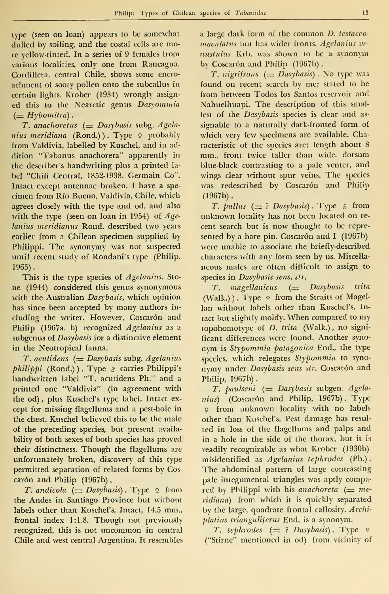type (seen on loan) appears to be somewhat dulled by soiling, and the costal cells are more yellow-tinted. In a series of 9 témales from various localities, only one from Rancagua, Cordillera, central Chile, shows some encro achment of sooty pollen onto the subcallus in certain lights. Krober (1934) wrongly assign ed this to the Nearctic genus Dasyommia  $(= Hybomitra)$ .

T. anachoretus  $(=$  Dasybasis subg. Agelanius meridiana (Rond.)). Type  $9$  probably from Valdivia, labelled by Kuschel, and in ad dition "Tabanus anachoreta" apparently in the describer's handwriting plus a printed la bel "Chili Central, 1852-1938. Germain Co". Intact except antennae broken. <sup>I</sup> have a spe cimen from Río Bueno, Valdivia, Chile, which agrees closely with the type and od. and also with the type (seen on loan in 1954) of  $Age$ lanius meridianus Rond. described two years earlier from a Chilean specimen supplied by Philippi. The synonymy was not suspected until recent study of Rondani's type (Philip,  $1965$ ).

This is the type species of Agelanius. Stone (1944) considered this genus synonymous with the Australian Dasybasis, which opinion has since been accepted by many authors including the writer. However, Coscarón and Philip (1967a, b) recognized Agelanius as a subgenus of Dasybasis for a distinctive element in the Neotropical fauna.

 $T.$  acutidens  $($  = Dasybasis subg. Agelanius  $philippi$  (Rond.)). Type  $\delta$  carries Philippi's handwritten label "T. acutidens Ph." and a printed one "Valdivia" (in agreement with the od) , plus Kuschel's type label. Intact ex cept for missing flagellums and a pest-hole in the chest. Kuschel believed this to be the male of the preceding species, but present availability of both sexes of both species has proved their distinctness. Though the flagellums are unfortunately broken, discovery of this type permitted separation of related forms by Cos carón and Philip (1967b).

T. andicola  $(=$  Dasybasis). Type  $\varphi$  from the Andes in Santiago Province but without labels other than Kuschel's. Intact, 14.5 mm., frontal index 1:1.8. Though not previously recognized, this is not uncommon in central Chile and west central Argentina. It resembles a large dark form of the common D. testacco maculatus but has wider fronts. Agelanins ve nustulus Krb. was shown to be a synonym by Coscarón and Philip (1967b).

T. nigrifrons  $(=$  Dasybasis). No type was found on recent search by me; stated to be from between Todos los Santos reservoir and Nahuelhuapi. The description of this smallest of the Dasybasis species is clear and as signable to a naturally dark-fronted form of which very few specimens are available. Characteristic of the species are: length about 8 mm., front twice taller than wide, dorsum blue-black contrasting to a palé venter, and wings clear without spur veins. The species was redescribed by Coscarón and Philip  $(1967b)$ .

T. pullus  $(= ?$  Dasybasis). Type  $\delta$  from unknown locality has not been located on re cent search but is now thought to be repre sented by a bare pin. Coscarón and I  $(1967b)$ were unable to associate the briefly-described characters with any form seen by us. Miscella neous males are often difficult to assign to species in Dasybasis sens. str.

 $T.$  magellanicus ( $=$  Dasybasis trita (Walk.)). Type  $\varphi$  from the Straits of Magellan without labels other than Kuschel's. Intact but slightly moldy. When compared to my topohomotype of D. trita (Walk.) , no signi ficant differences were found. Another syno nym is Stypommia patagónica End., the type species, which relegates Stypommia to syno nymy under Dasybasis sens str. Coscarón and Philip, 1967b).

T. paulseni  $(=$  Dasybasis subgen. Agelanius) (Coscarón and Philip, 1967b). Type <sup>9</sup> from unknown locality with no labels other than Kuschel's. Pest damage has resul ted in loss of the flagellums and palps and in a hole in the side of the thorax, but it is readily recognizable as what Krober (1930b) misidentified as Agelanius tephrodes (Ph.). The abdominal pattern of large contrasting palé integumental triangles was aptly compared by Philippi with his anachoreta  $(= me$ ridiana) from which it is quickly separated by the large, quadrate frontal callosity. Archiplatius trianguliferus End. is a synonym.

T. tephrodes  $(= ?$  Dasybasis). Type  $9$ ("Stirne" mentioned in od) from vicinity of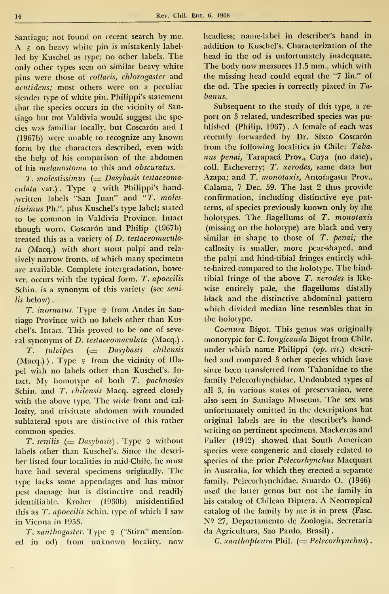Rev. Chil. Ent. 6, 1968

Santiago; not found on recent search by me. A  $\phi$  on heavy white pin is mistakenly labelled by Kuschel as type; no other labels. The only other types seen on similar heavy white pins were those of collaris, chlorogaster and acutidens; most others were on a peculiar slender type of white pin. Philippi's statement that the species occurs in the vicinity of Santiago but not Valdivia would suggest the species was familiar locally, but Coscarón and I (1967b) were unable to recognize any known form by the characters described, even with the help of his comparison of the abdomen of his melanostoma to this and obscuratus.

 $T.$  molestissimus  $(=$  Dasybasis testaceomaculata var.). Type 9 with Philippi's hand-¡written labels "San Juan" and "T. molestissimus Ph.", plus Kuschel's type label; stated to be common in Valdivia Province. Intact though worn. Coscarón and Philip (1967b) treated this as a variety of D. testaceomaculata (Macq.) with short stout palpi and rela tively narrow fronts, of which many specimens are available. Complete intergradation, however, occurs with the typical form. T. apoecilis Schin. is a synonym of this variety (see senilis below).

T. inornatus. Type  $9$  from Andes in Santiago Province with no labels other than Kuschel's. Intact. This proved to be one of several synonyms of D. testaceomaculata (Macq.).

 $T.$  fulvipes  $(=$  Dasybasis chilensis  $(Macq.)$ ). Type  $9$  from the vicinity of Illapel with no labels other than Kuschel's. Intact. My homotype of both T. pachnodes Schin. and T. chilensis Macq. agreed closely with the above type. The wide front and callosity, and trivittate abdomen with rounded sublateral spots are distinctive of this rather common species.

T. senilis  $(=$  Dasybasis). Type  $\varphi$  without labels other than Kuschel's. Since the descri ber listed four localities in mid-Chile, he must have had several specimens originally. The type lacks some appendages and has minor pest damage but is distinctive and readily identifiable. Krober (1930b) misidentified this as T. apoecilis Schin. type of which I saw in Vienna in 1953.

T. xanthogaster. Type 2 ("Stirn" mentioned in od) from unknown locality, now headless; name-label in describer's hand in addition to Kuschel's. Characterization of the head in the od is unfortunately inadequate. The body now measures 11.5 mm., which with the missing head could equal the "7 lin." of the od. The species is correctly placed in Tabanus.

Subsequent to the study of this type, a re port on 3 related, undescríbed species was published (Philip, 1967) . A female of each was recently forwarded by Dr. Sixto Coscarón from the following localities in Chile: Tabanus penai, Tarapacá Prov., Cuya (no date), coll. Etcheverry; T. xerodes, same data but Azapa; and T. monotaxis, Antofagasta Prov., Calama, <sup>7</sup> Dec. 59. The last 2 thus provide confirmation, including distinctive eye patterns, of species previously known only by the holotypes. The flagellums of T. monotaxis (missing on the holotype) are black and very similar in shape to those of T. penai; the callosity is smaller, more pear-shaped, and the palpi and hind-tibial fringes entirely white-haired compared to the holotype. The hindtibial fringe of the above  $T$ . xerodes is likewise entirely palé, the flagellums distally black and the distinctive abdominal pattern which divided median line resembles that in the holotype.

Coenura Bigot. This genus was originally monotypic for C. longicauda Bigot from Chile, under which name Philippi (op. cit.) described and compared <sup>3</sup> other species which have since been transferred from Tabanidae to the family Pelecorhynchidae. Undoubted types of all 3, in various states of preservation, were also seen in Santiago Museum. The sex was unfortunately omitted in the descriptions but original labels are in the describer's handwriting on pertinent specimens. Mackerras and Fuller (1942) showed that South American species were congeneric and closely related to species of the prior Pelecorhynchus Macquart in Australia, for which they erected a separate family, Pelecorhynchidae. Stuardo O. (1946) used the latter genus but not the family in his catalog of Chilean Diptera. A Neotropical catalog of the family by me is in press (Fase. N? 27, Departamento de Zoología, Secretaria da Agricultura, Sao Paulo, Brasil)

C. xanthopleura Phil.  $(= Peleochynchus)$ .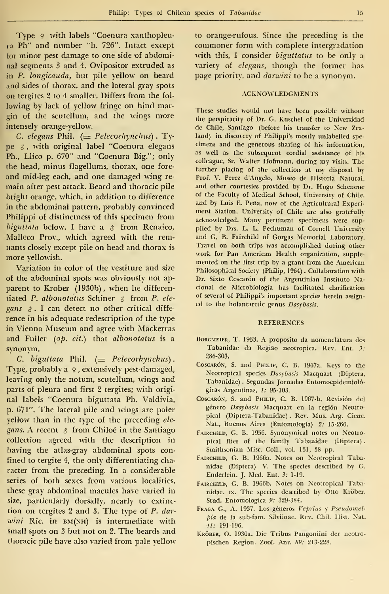Type  $9$  with labels "Coenura xanthopleura Ph" and number "h. 726". Intact except for minor pest damage to one side of abdominal segments 3 and 4. Ovipositor extruded as in P. longicauda, but pile yellow on beard and sides of thorax, and the lateral gray spots on tergites 2 to 4 smaller. Differs from the fol lowing by lack of yellow fringe on hind margin of the scutellum, and the wings more intensely orange-yellow.

C. elegans Phil.  $\left(=$  Pelecorhynchus). Type  $\delta$ , with original label "Coenura elegans Ph., Llico p. 670" and "Coenura Big."; only the head, minus flagellums, thorax, one fore and mid-leg each, and one damaged wing re main after pest attack. Beard and thoracic pile bright orange, which, in addition to difference in the abdominal pattern, probably convinced Philippi of distinctness of this specimen from biguttata below. I have a  $\delta$  from Renaico, Malleco Prov., which agreed with the remnants closely except pile on head and thorax is more yellowish.

Variation in color of the vestiture and size of the abdominal spots was obviously not ap parent to Krober (1930b) , when he differentiated P. albonotatus Schiner  $\beta$  from P. elegans  $\delta$ . I can detect no other critical difference in his adequate redescription of the type in Vienna Museum and agree with Mackerras and Fuller (op. cit.) that albonotatus is a synonym.

C. biguttata Phil.  $(= Peleochynchus)$ . Type, probably a  $\varphi$ , extensively pest-damaged, leaving only the notum, scutellum, wings and parts of pleura and first 2 tergites; with origi nal labels "Coenura biguttata Ph. Valdivia, p. 671". The lateral pile and wings are paler yellow than in the type of the preceding elegans. A recent  $\delta$  from Chiloé in the Santiago collection agreed with the description in having the atlas-gray abdominal spots confined to tergite 4, the only differentiating character from the preceding. In a considerable series of both sexes from various localities, these gray abdominal macules have varied in size, particularly dorsally, nearly to extinc tion on tergites <sup>2</sup> and 3. The type of P. dar  $wini$  Ric. in  $BM(NH)$  is intermediate with small spots on <sup>3</sup> but not on 2. The beards and thoracic pile have also varied from palé yellow to orange-rufous. Since the preceding is the commoner form with complete intergradation with this, <sup>I</sup> consider biguttatus to be only a variety of elegans, though the former has page priority, and darwini to be a synonym.

### ACKNOWLEDGMENTS

These studies would not have becn possible without the perspicacity of Dr. G. Kuschel of the Universidad de Chile, Santiago (before his transfer to New Zea land) in discovery of Philippi's mostly unlabelled specimens and the generous sharing of his information, as well as the subsequent cordial assistance of his colleague, Sr. Walter Hofmann, during my visits. The further placing of the collection at my disposal by Prof. V. Pérez d'Angelo, Museo de Historia Natural, and other courtesies provided by Dr. Hugo Schenone of the Faculty of Medical School, University of Chile, and by Luis E. Peña, now of the Agricultural Experi ment Station, University of Chile are also gratefully acknowledged. Many pertinent specimens were supplied by Drs. L. L. Pechuman of Cornell University and G. B. Fairchild of Gorgas Memorial Laboratory. Travel on both trips was accomplished during other work for Pan American Health organization, supple mented on the first trip by a grant from the American Philosophical Society (Philip, 1964) . Collaboration with Dr. Sixto Coscarón of the Argentinian Instituto Nacional de Microbiología has facilitated clarification of several of Philippi's important species herein assign ed to the holantarctic genus Dasybasis.

#### REFERENCES

- BORGMEIER, T. 1933. A proposito da nomenclatura dos Tabanidae da Região neotropica. Rev. Ent. 3: 286-303.
- Coscarón, S. and PHILIP, C. B. 1967a. Keys to the Neotropical species Dasybasis Macquart (Díptera. Tabanidae) . Segundas Jornadas Entomoepidemiológicas Argentinas, 1: 95-103.
- Coscarón, S. and PHILIP, C. B. 1967-b. Revisión del género Dasybasis Macquart en la región Neotropical (Diptera-Tabanidae). Rev. Mus. Arg. Cienc. Nat., Buenos Aires (Entomología) 2: 15-266.
- FAIRCHILD, G. B. 1956. Synonymical notes on Neotropical flies of the family Tabanidae (Díptera) . Smithsonian Misc. Coll., vol. 131, 38 pp.
- Fairchild, G. B. 1966a. Notes on Neotropical Tabanidae (Díptera) V. The species descríbed by G. Enderlein, J. Med. Ent. 3: 1-19.
- FAIRCHILD, G. B. 1966b. Notes on Neotropical Tabanidae. Ix. The species described by Otto Kröber. Stud. Entomológica 9: 329-384.
- Fraga G., A. 1937. Los géneros Veprius y Pseudomelpia de la sub-fam. Silviinac. Rev. Chil. Hist. Nat. •//.• 191-196.
- KRÖBER, O. 1930a. Die Tribus Pangoniini der neotropischen Región. Zool. Anz. S9: 213-228.